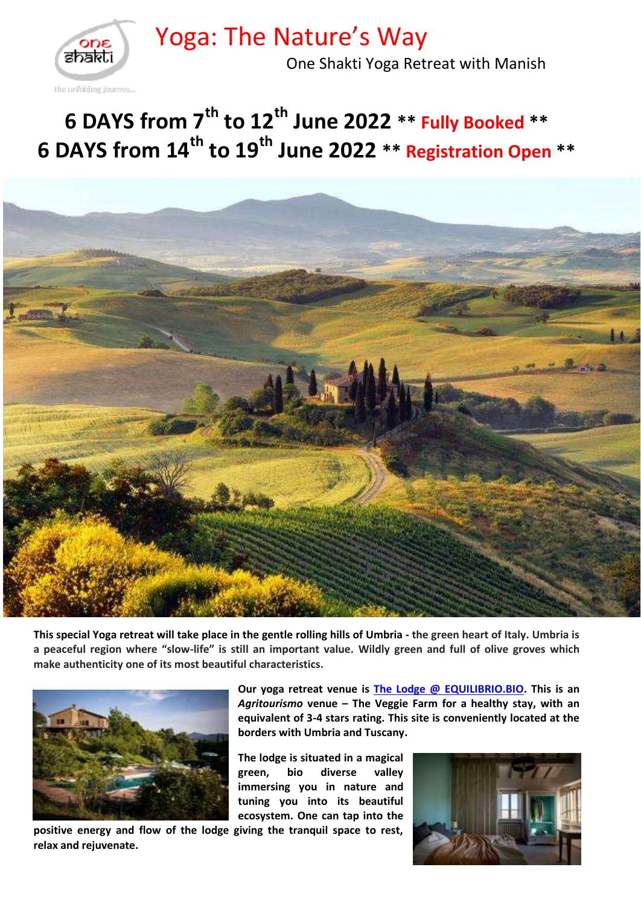Yoga: The Nature's Way



One Shakti Yoga Retreat with Manish

# **6 DAYS from 7 th to 12 th June 2022 \*\* Fully Booked \*\* 6 DAYS from 14 th to 19 th June 2022 \*\* Registration Open \*\***



**This special Yoga retreat will take place in the gentle rolling hills of Umbria - the green heart of Italy. Umbria is a peaceful region where "slow-life" is still an important value. Wildly green and full of olive groves which make authenticity one of its most beautiful characteristics.**



**positive energy and flow of the lodge giving the tranquil space to rest, relax and rejuvenate.** 

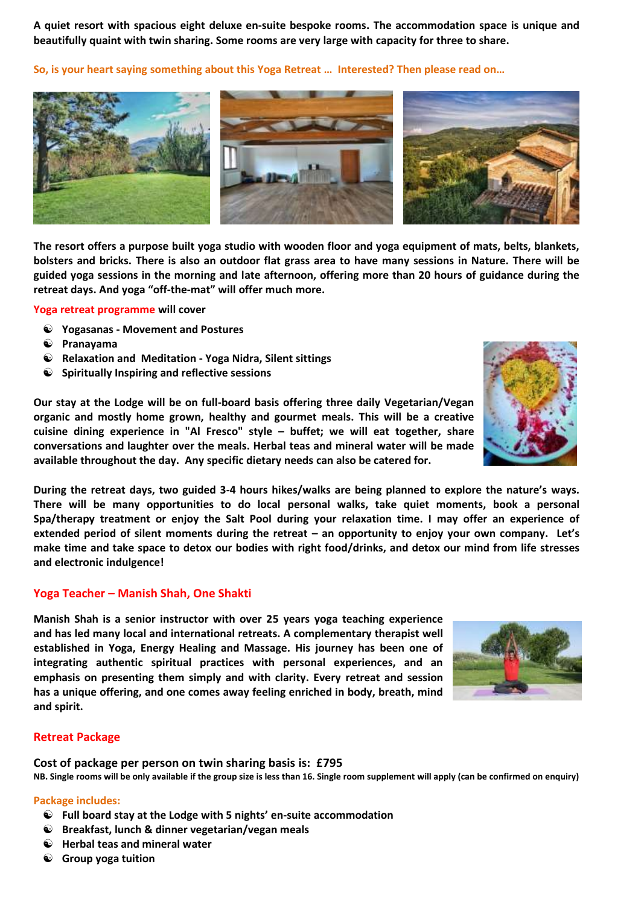**A quiet resort with spacious eight deluxe en-suite bespoke rooms. The accommodation space is unique and beautifully quaint with twin sharing. Some rooms are very large with capacity for three to share.**

**So, is your heart saying something about this Yoga Retreat … Interested? Then please read on…**



**The resort offers a purpose built yoga studio with wooden floor and yoga equipment of mats, belts, blankets, bolsters and bricks. There is also an outdoor flat grass area to have many sessions in Nature. There will be guided yoga sessions in the morning and late afternoon, offering more than 20 hours of guidance during the retreat days. And yoga "off-the-mat" will offer much more.**

**Yoga retreat programme will cover**

- **Yogasanas - Movement and Postures**
- **Pranayama**
- **Relaxation and Meditation - Yoga Nidra, Silent sittings**
- **Spiritually Inspiring and reflective sessions**

**Our stay at the Lodge will be on full-board basis offering three daily Vegetarian/Vegan organic and mostly home grown, healthy and gourmet meals. This will be a creative cuisine dining experience in "Al Fresco" style – buffet; we will eat together, share conversations and laughter over the meals. Herbal teas and mineral water will be made available throughout the day. Any specific dietary needs can also be catered for.**

**During the retreat days, two guided 3-4 hours hikes/walks are being planned to explore the nature's ways. There will be many opportunities to do local personal walks, take quiet moments, book a personal Spa/therapy treatment or enjoy the Salt Pool during your relaxation time. I may offer an experience of extended period of silent moments during the retreat – an opportunity to enjoy your own company. Let's make time and take space to detox our bodies with right food/drinks, and detox our mind from life stresses and electronic indulgence!**

#### **Yoga Teacher – Manish Shah, One Shakti**

**Manish Shah is a senior instructor with over 25 years yoga teaching experience and has led many local and international retreats. A complementary therapist well established in Yoga, Energy Healing and Massage. His journey has been one of integrating authentic spiritual practices with personal experiences, and an emphasis on presenting them simply and with clarity. Every retreat and session has a unique offering, and one comes away feeling enriched in body, breath, mind and spirit.** 

#### **Retreat Package**

**Cost of package per person on twin sharing basis is: £795 NB. Single rooms will be only available if the group size is less than 16. Single room supplement will apply (can be confirmed on enquiry)**

#### **Package includes:**

- **Full board stay at the Lodge with 5 nights' en-suite accommodation**
- **Breakfast, lunch & dinner vegetarian/vegan meals**
- **Herbal teas and mineral water**
- **Group yoga tuition**



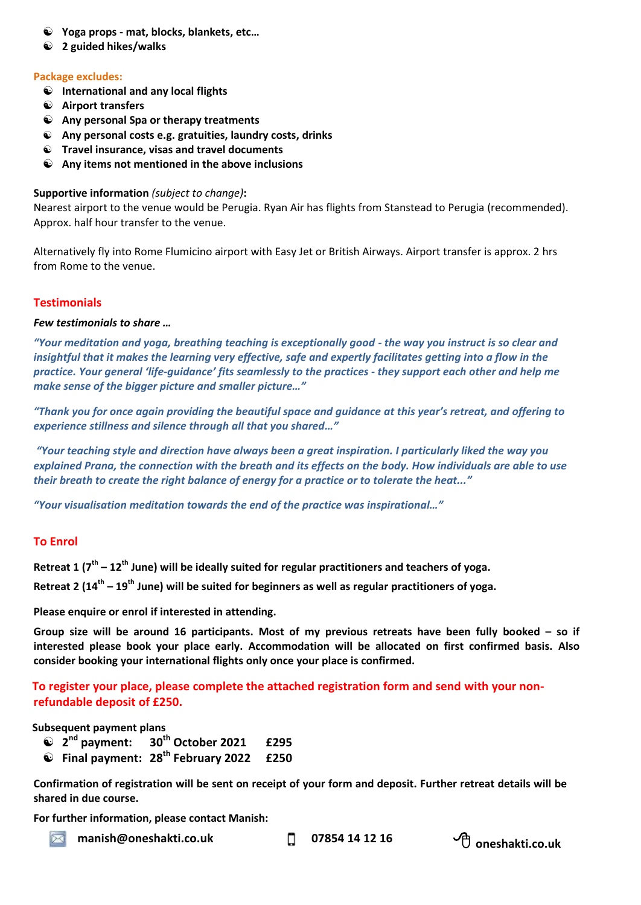- **Yoga props - mat, blocks, blankets, etc…**
- **2 guided hikes/walks**

#### **Package excludes:**

- **International and any local flights**
- **Airport transfers**
- **Any personal Spa or therapy treatments**
- **Any personal costs e.g. gratuities, laundry costs, drinks**
- **Travel insurance, visas and travel documents**
- **Any items not mentioned in the above inclusions**

#### **Supportive information** *(subject to change)***:**

Nearest airport to the venue would be Perugia. Ryan Air has flights from Stanstead to Perugia (recommended). Approx. half hour transfer to the venue.

Alternatively fly into Rome Flumicino airport with Easy Jet or British Airways. Airport transfer is approx. 2 hrs from Rome to the venue.

### **Testimonials**

#### *Few testimonials to share …*

*"Your meditation and yoga, breathing teaching is exceptionally good - the way you instruct is so clear and insightful that it makes the learning very effective, safe and expertly facilitates getting into a flow in the practice. Your general 'life-guidance' fits seamlessly to the practices - they support each other and help me make sense of the bigger picture and smaller picture…"* 

*"Thank you for once again providing the beautiful space and guidance at this year's retreat, and offering to experience stillness and silence through all that you shared…"*

*"Your teaching style and direction have always been a great inspiration. I particularly liked the way you explained Prana, the connection with the breath and its effects on the body. How individuals are able to use their breath to create the right balance of energy for a practice or to tolerate the heat..."*

*"Your visualisation meditation towards the end of the practice was inspirational…"*

## **To Enrol**

**Retreat 1 (7 th – 12 th June) will be ideally suited for regular practitioners and teachers of yoga.**

Retreat 2 (14<sup>th</sup> – 19<sup>th</sup> June) will be suited for beginners as well as regular practitioners of yoga.

**Please enquire or enrol if interested in attending.** 

**Group size will be around 16 participants. Most of my previous retreats have been fully booked – so if interested please book your place early. Accommodation will be allocated on first confirmed basis. Also consider booking your international flights only once your place is confirmed.**

# **To register your place, please complete the attached registration form and send with your nonrefundable deposit of £250.**

### **Subsequent payment plans**

- **2 nd payment: 30th October 2021 £295**
- **Final payment: 28th February 2022 £250**

**Confirmation of registration will be sent on receipt of your form and deposit. Further retreat details will be shared in due course.** 

**For further information, please contact Manish:**